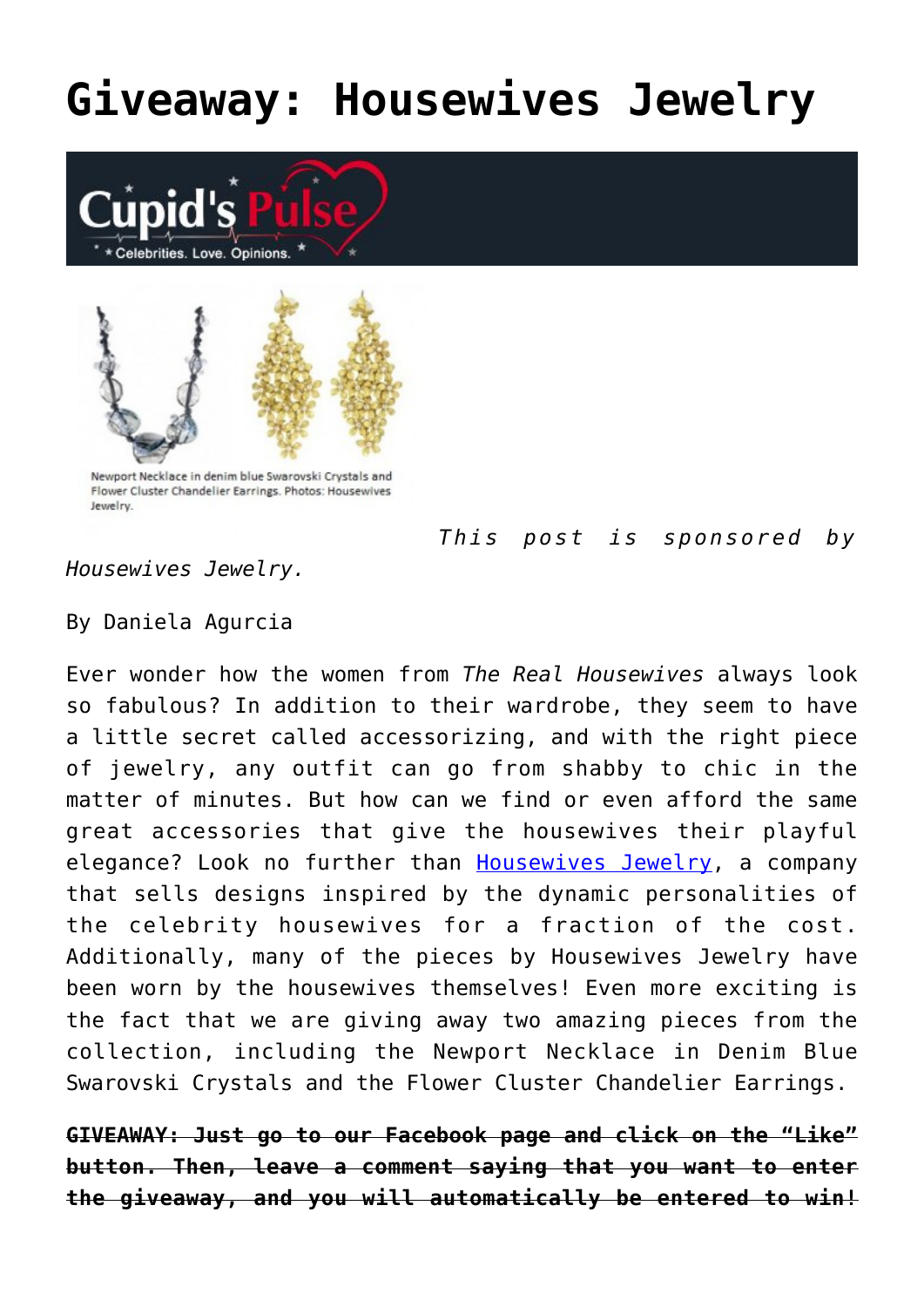## **[Giveaway: Housewives Jewelry](https://cupidspulse.com/35628/real-desperate-housewives-jewelry-giveaway/)**





Newport Necklace in denim blue Swarovski Crystals and Flower Cluster Chandelier Earrings. Photos: Housewives **Lewelry** 

*This post is sponsored by*

*Housewives Jewelry.*

By Daniela Agurcia

Ever wonder how the women from *The Real Housewives* always look so fabulous? In addition to their wardrobe, they seem to have a little secret called accessorizing, and with the right piece of jewelry, any outfit can go from shabby to chic in the matter of minutes. But how can we find or even afford the same great accessories that give the housewives their playful elegance? Look no further than [Housewives Jewelry,](http://www.housewivesjewelry.com/) a company that sells designs inspired by the dynamic personalities of the celebrity housewives for a fraction of the cost. Additionally, many of the pieces by Housewives Jewelry have been worn by the housewives themselves! Even more exciting is the fact that we are giving away two amazing pieces from the collection, including the Newport Necklace in Denim Blue Swarovski Crystals and the Flower Cluster Chandelier Earrings.

**GIVEAWAY: Just go to our Facebook page and click on the "Like" button. Then, leave a comment saying that you want to enter the giveaway, and you will automatically be entered to win!**